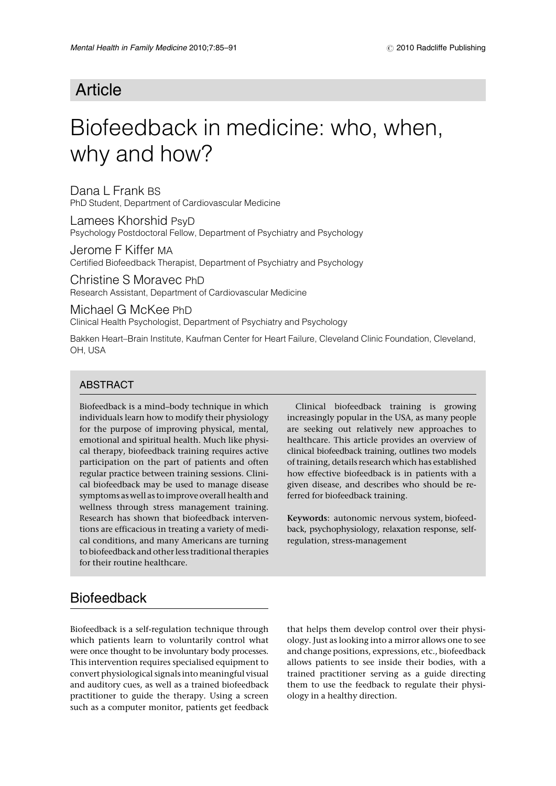## Article

# Biofeedback in medicine: who, when, why and how?

Dana L Frank BS PhD Student, Department of Cardiovascular Medicine

Lamees Khorshid PsyD Psychology Postdoctoral Fellow, Department of Psychiatry and Psychology

Jerome F Kiffer MA Certified Biofeedback Therapist, Department of Psychiatry and Psychology

Christine S Moravec PhD Research Assistant, Department of Cardiovascular Medicine

Michael G McKee PhD

Clinical Health Psychologist, Department of Psychiatry and Psychology

Bakken Heart–Brain Institute, Kaufman Center for Heart Failure, Cleveland Clinic Foundation, Cleveland, OH, USA

#### **ABSTRACT**

Biofeedback is a mind–body technique in which individuals learn how to modify their physiology for the purpose of improving physical, mental, emotional and spiritual health. Much like physical therapy, biofeedback training requires active participation on the part of patients and often regular practice between training sessions. Clinical biofeedback may be used to manage disease symptoms as well as to improve overall health and wellness through stress management training. Research has shown that biofeedback interventions are efficacious in treating a variety of medical conditions, and many Americans are turning to biofeedback and other less traditional therapies for their routine healthcare.

Clinical biofeedback training is growing increasingly popular in the USA, as many people are seeking out relatively new approaches to healthcare. This article provides an overview of clinical biofeedback training, outlines two models of training, details research which has established how effective biofeedback is in patients with a given disease, and describes who should be referred for biofeedback training.

Keywords: autonomic nervous system, biofeedback, psychophysiology, relaxation response, selfregulation, stress-management

## **Biofeedback**

Biofeedback is a self-regulation technique through which patients learn to voluntarily control what were once thought to be involuntary body processes. This intervention requires specialised equipment to convert physiological signals intomeaningful visual and auditory cues, as well as a trained biofeedback practitioner to guide the therapy. Using a screen such as a computer monitor, patients get feedback

that helps them develop control over their physiology. Just as looking into a mirror allows one to see and change positions, expressions, etc., biofeedback allows patients to see inside their bodies, with a trained practitioner serving as a guide directing them to use the feedback to regulate their physiology in a healthy direction.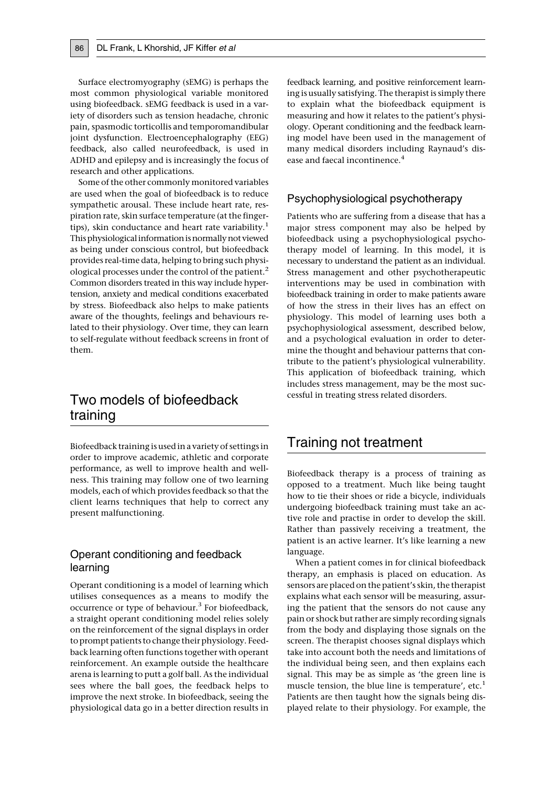Surface electromyography (sEMG) is perhaps the most common physiological variable monitored using biofeedback. sEMG feedback is used in a variety of disorders such as tension headache, chronic pain, spasmodic torticollis and temporomandibular joint dysfunction. Electroencephalography (EEG) feedback, also called neurofeedback, is used in ADHD and epilepsy and is increasingly the focus of research and other applications.

Some of the other commonly monitored variables are used when the goal of biofeedback is to reduce sympathetic arousal. These include heart rate, respiration rate, skin surface temperature (at the fingertips), skin conductance and heart rate variability.<sup>1</sup> This physiological information isnormallynot viewed as being under conscious control, but biofeedback provides real-time data, helping to bring such physiological processes under the control of the patient.<sup>2</sup> Common disorders treated in this way include hypertension, anxiety and medical conditions exacerbated by stress. Biofeedback also helps to make patients aware of the thoughts, feelings and behaviours related to their physiology. Over time, they can learn to self-regulate without feedback screens in front of them.

## Two models of biofeedback training

Biofeedback training is used in a variety of settings in order to improve academic, athletic and corporate performance, as well to improve health and wellness. This training may follow one of two learning models, each of which provides feedback so that the client learns techniques that help to correct any present malfunctioning.

#### Operant conditioning and feedback learning

Operant conditioning is a model of learning which utilises consequences as a means to modify the occurrence or type of behaviour.<sup>3</sup> For biofeedback, a straight operant conditioning model relies solely on the reinforcement of the signal displays in order to prompt patients to change their physiology. Feedback learning often functions together with operant reinforcement. An example outside the healthcare arena is learning to putt a golf ball. As the individual sees where the ball goes, the feedback helps to improve the next stroke. In biofeedback, seeing the physiological data go in a better direction results in

feedback learning, and positive reinforcement learning is usually satisfying. The therapist is simply there to explain what the biofeedback equipment is measuring and how it relates to the patient's physiology. Operant conditioning and the feedback learning model have been used in the management of many medical disorders including Raynaud's disease and faecal incontinence.<sup>4</sup>

#### Psychophysiological psychotherapy

Patients who are suffering from a disease that has a major stress component may also be helped by biofeedback using a psychophysiological psychotherapy model of learning. In this model, it is necessary to understand the patient as an individual. Stress management and other psychotherapeutic interventions may be used in combination with biofeedback training in order to make patients aware of how the stress in their lives has an effect on physiology. This model of learning uses both a psychophysiological assessment, described below, and a psychological evaluation in order to determine the thought and behaviour patterns that contribute to the patient's physiological vulnerability. This application of biofeedback training, which includes stress management, may be the most successful in treating stress related disorders.

### Training not treatment

Biofeedback therapy is a process of training as opposed to a treatment. Much like being taught how to tie their shoes or ride a bicycle, individuals undergoing biofeedback training must take an active role and practise in order to develop the skill. Rather than passively receiving a treatment, the patient is an active learner. It's like learning a new language.

When a patient comes in for clinical biofeedback therapy, an emphasis is placed on education. As sensors are placed on the patient's skin, the therapist explains what each sensor will be measuring, assuring the patient that the sensors do not cause any pain or shock but rather are simply recording signals from the body and displaying those signals on the screen. The therapist chooses signal displays which take into account both the needs and limitations of the individual being seen, and then explains each signal. This may be as simple as 'the green line is muscle tension, the blue line is temperature', etc.<sup>1</sup> Patients are then taught how the signals being displayed relate to their physiology. For example, the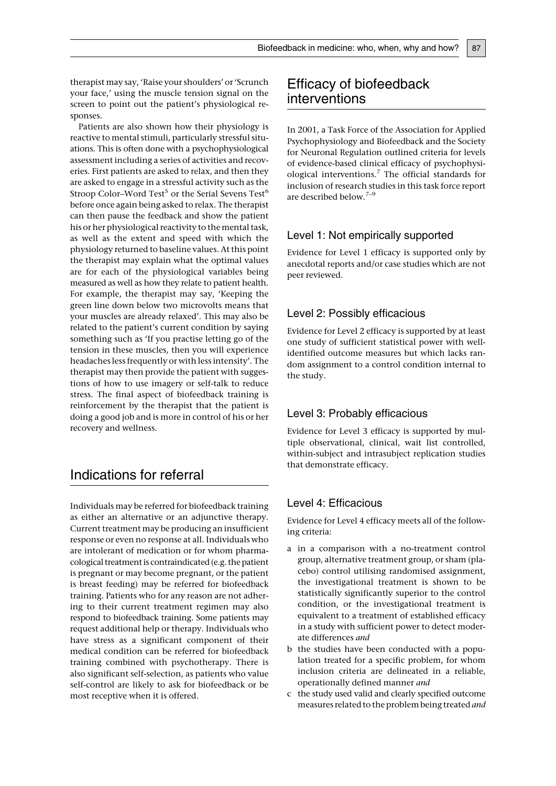therapist may say, 'Raise your shoulders' or 'Scrunch your face,' using the muscle tension signal on the screen to point out the patient's physiological responses.

Patients are also shown how their physiology is reactive to mental stimuli, particularly stressful situations. This is often done with a psychophysiological assessment including a series of activities and recoveries. First patients are asked to relax, and then they are asked to engage in a stressful activity such as the Stroop Color–Word Test<sup>5</sup> or the Serial Sevens Test<sup>6</sup> before once again being asked to relax. The therapist can then pause the feedback and show the patient his or her physiological reactivity to the mental task, as well as the extent and speed with which the physiology returned to baseline values. At this point the therapist may explain what the optimal values are for each of the physiological variables being measured as well as how they relate to patient health. For example, the therapist may say, 'Keeping the green line down below two microvolts means that your muscles are already relaxed'. This may also be related to the patient's current condition by saying something such as 'If you practise letting go of the tension in these muscles, then you will experience headaches less frequently or with less intensity'. The therapist may then provide the patient with suggestions of how to use imagery or self-talk to reduce stress. The final aspect of biofeedback training is reinforcement by the therapist that the patient is doing a good job and is more in control of his or her recovery and wellness.

## Indications for referral

Individuals may be referred for biofeedback training as either an alternative or an adjunctive therapy. Current treatment may be producing an insufficient response or even no response at all. Individuals who are intolerant of medication or for whom pharmacological treatment is contraindicated (e.g. the patient is pregnant or may become pregnant, or the patient is breast feeding) may be referred for biofeedback training. Patients who for any reason are not adhering to their current treatment regimen may also respond to biofeedback training. Some patients may request additional help or therapy. Individuals who have stress as a significant component of their medical condition can be referred for biofeedback training combined with psychotherapy. There is also significant self-selection, as patients who value self-control are likely to ask for biofeedback or be most receptive when it is offered.

## Efficacy of biofeedback interventions

In 2001, a Task Force of the Association for Applied Psychophysiology and Biofeedback and the Society for Neuronal Regulation outlined criteria for levels of evidence-based clinical efficacy of psychophysiological interventions.<sup>7</sup> The official standards for inclusion of research studies in this task force report are described below.<sup>7-9</sup>

#### Level 1: Not empirically supported

Evidence for Level 1 efficacy is supported only by anecdotal reports and/or case studies which are not peer reviewed.

#### Level 2: Possibly efficacious

Evidence for Level 2 efficacy is supported by at least one study of sufficient statistical power with wellidentified outcome measures but which lacks random assignment to a control condition internal to the study.

#### Level 3: Probably efficacious

Evidence for Level 3 efficacy is supported by multiple observational, clinical, wait list controlled, within-subject and intrasubject replication studies that demonstrate efficacy.

#### Level 4: Efficacious

Evidence for Level 4 efficacy meets all of the following criteria:

- a in a comparison with a no-treatment control group, alternative treatment group, or sham (placebo) control utilising randomised assignment, the investigational treatment is shown to be statistically significantly superior to the control condition, or the investigational treatment is equivalent to a treatment of established efficacy in a study with sufficient power to detect moderate differences and
- b the studies have been conducted with a population treated for a specific problem, for whom inclusion criteria are delineated in a reliable, operationally defined manner and
- c the study used valid and clearly specified outcome measures related to the problem being treated and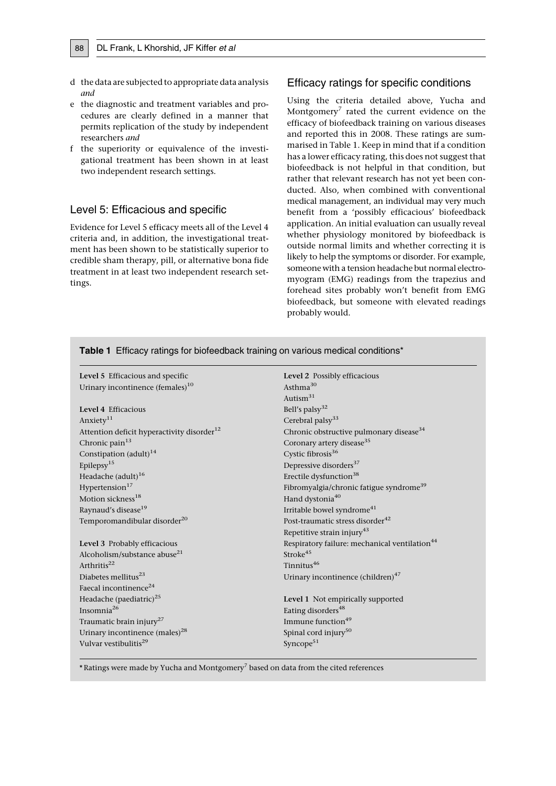- d the data are subjected to appropriate data analysis and
- e the diagnostic and treatment variables and procedures are clearly defined in a manner that permits replication of the study by independent researchers and
- f the superiority or equivalence of the investigational treatment has been shown in at least two independent research settings.

#### Level 5: Efficacious and specific

Evidence for Level 5 efficacy meets all of the Level 4 criteria and, in addition, the investigational treatment has been shown to be statistically superior to credible sham therapy, pill, or alternative bona fide treatment in at least two independent research settings.

#### Efficacy ratings for specific conditions

Using the criteria detailed above, Yucha and Montgomery<sup>7</sup> rated the current evidence on the efficacy of biofeedback training on various diseases and reported this in 2008. These ratings are summarised in Table 1. Keep in mind that if a condition has a lower efficacy rating, this does not suggest that biofeedback is not helpful in that condition, but rather that relevant research has not yet been conducted. Also, when combined with conventional medical management, an individual may very much benefit from a 'possibly efficacious' biofeedback application. An initial evaluation can usually reveal whether physiology monitored by biofeedback is outside normal limits and whether correcting it is likely to help the symptoms or disorder. For example, someone with a tension headache but normal electromyogram (EMG) readings from the trapezius and forehead sites probably won't benefit from EMG biofeedback, but someone with elevated readings probably would.

| <b>Rable L</b> Efficacy Tamigs for bioreeupack training on various medical conditions |                                                           |
|---------------------------------------------------------------------------------------|-----------------------------------------------------------|
| Level 5 Efficacious and specific                                                      | Level 2 Possibly efficacious                              |
| Urinary incontinence (females) <sup>10</sup>                                          | Asthma <sup>30</sup>                                      |
|                                                                                       | Autism <sup>31</sup>                                      |
| Level 4 Efficacious                                                                   | Bell's palsy <sup>32</sup>                                |
| Anxiety <sup>11</sup>                                                                 | Cerebral palsy <sup>33</sup>                              |
| Attention deficit hyperactivity disorder <sup>12</sup>                                | Chronic obstructive pulmonary disease <sup>34</sup>       |
| Chronic pain <sup>13</sup>                                                            | Coronary artery disease <sup>35</sup>                     |
| Constipation (adult) <sup>14</sup>                                                    | Cystic fibrosis <sup>36</sup>                             |
| Epilepsy <sup>15</sup>                                                                | Depressive disorders <sup>37</sup>                        |
| Headache (adult) <sup>16</sup>                                                        | Erectile dysfunction <sup>38</sup>                        |
| Hypertension <sup>17</sup>                                                            | Fibromyalgia/chronic fatigue syndrome <sup>39</sup>       |
| Motion sickness <sup>18</sup>                                                         | Hand dystonia <sup>40</sup>                               |
| Raynaud's disease <sup>19</sup>                                                       | Irritable bowel syndrome <sup>41</sup>                    |
| Temporomandibular disorder <sup>20</sup>                                              | Post-traumatic stress disorder <sup>42</sup>              |
|                                                                                       | Repetitive strain injury <sup>43</sup>                    |
| Level 3 Probably efficacious                                                          | Respiratory failure: mechanical ventilation <sup>44</sup> |
| Alcoholism/substance abuse <sup>21</sup>                                              | Stroke <sup>45</sup>                                      |
| Arthritis <sup>22</sup>                                                               | Tinnitus <sup>46</sup>                                    |
| Diabetes mellitus <sup>23</sup>                                                       | Urinary incontinence (children) <sup>47</sup>             |
| Faecal incontinence <sup>24</sup>                                                     |                                                           |
| Headache (paediatric) <sup>25</sup>                                                   | Level 1 Not empirically supported                         |
| Insomnia $^{26}$                                                                      | Eating disorders <sup>48</sup>                            |
| Traumatic brain injury <sup>27</sup>                                                  | Immune function <sup>49</sup>                             |
| Urinary incontinence (males) <sup>28</sup>                                            | Spinal cord injury <sup>50</sup>                          |
| Vulvar vestibulitis <sup>29</sup>                                                     | Syncope <sup>51</sup>                                     |
|                                                                                       |                                                           |

Table 1 Efficacy ratings for biofeedback training on various medical conditions\*

 $*$  Ratings were made by Yucha and Montgomery<sup>7</sup> based on data from the cited references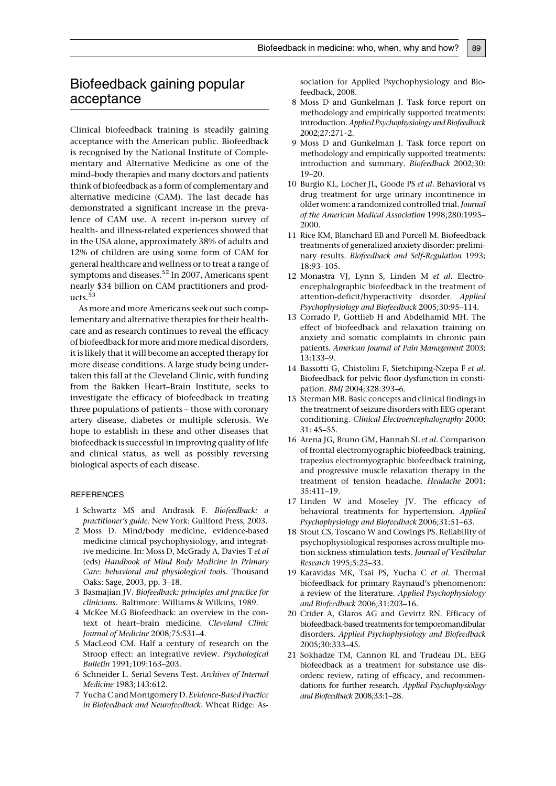## Biofeedback gaining popular acceptance

Clinical biofeedback training is steadily gaining acceptance with the American public. Biofeedback is recognised by the National Institute of Complementary and Alternative Medicine as one of the mind–body therapies and many doctors and patients think of biofeedback as a form of complementary and alternative medicine (CAM). The last decade has demonstrated a significant increase in the prevalence of CAM use. A recent in-person survey of health- and illness-related experiences showed that in the USA alone, approximately 38% of adults and 12% of children are using some form of CAM for general healthcare and wellness or to treat a range of symptoms and diseases.<sup>52</sup> In 2007, Americans spent nearly \$34 billion on CAM practitioners and products.<sup>53</sup>

As more and more Americans seek out such complementary and alternative therapies for their healthcare and as research continues to reveal the efficacy of biofeedback for more and moremedical disorders, it is likely that it will become an accepted therapy for more disease conditions. A large study being undertaken this fall at the Cleveland Clinic, with funding from the Bakken Heart–Brain Institute, seeks to investigate the efficacy of biofeedback in treating three populations of patients – those with coronary artery disease, diabetes or multiple sclerosis. We hope to establish in these and other diseases that biofeedback is successful in improving quality of life and clinical status, as well as possibly reversing biological aspects of each disease.

#### **REFERENCES**

- 1 Schwartz MS and Andrasik F. Biofeedback: a practitioner's guide. New York: Guilford Press, 2003.
- 2 Moss D. Mind/body medicine, evidence-based medicine clinical psychophysiology, and integrative medicine. In: Moss D, McGrady A, Davies T et al (eds) Handbook of Mind Body Medicine in Primary Care: behavioral and physiological tools. Thousand Oaks: Sage, 2003, pp. 3–18.
- 3 Basmajian JV. Biofeedback: principles and practice for clinicians. Baltimore: Williams & Wilkins, 1989.
- 4 McKee M.G Biofeedback: an overview in the context of heart–brain medicine. Cleveland Clinic Journal of Medicine 2008;75:S31–4.
- 5 MacLeod CM. Half a century of research on the Stroop effect: an integrative review. Psychological Bulletin 1991;109:163–203.
- 6 Schneider L. Serial Sevens Test. Archives of Internal Medicine 1983;143:612.
- 7 Yucha C and Montgomery D. Evidence-Based Practice in Biofeedback and Neurofeedback. Wheat Ridge: As-

sociation for Applied Psychophysiology and Biofeedback, 2008.

- 8 Moss D and Gunkelman J. Task force report on methodology and empirically supported treatments: introduction.Applied Psychophysiology and Biofeedback 2002;27:271–2.
- 9 Moss D and Gunkelman J. Task force report on methodology and empirically supported treatments: introduction and summary. Biofeedback 2002;30: 19–20.
- 10 Burgio KL, Locher JL, Goode PS et al. Behavioral vs drug treatment for urge urinary incontinence in older women: a randomized controlled trial. Journal of the American Medical Association 1998;280:1995– 2000.
- 11 Rice KM, Blanchard EB and Purcell M. Biofeedback treatments of generalized anxiety disorder: preliminary results. Biofeedback and Self-Regulation 1993; 18:93–105.
- 12 Monastra VJ, Lynn S, Linden M et al. Electroencephalographic biofeedback in the treatment of attention-deficit/hyperactivity disorder. Applied Psychophysiology and Biofeedback 2005;30:95–114.
- 13 Corrado P, Gottlieb H and Abdelhamid MH. The effect of biofeedback and relaxation training on anxiety and somatic complaints in chronic pain patients. American Journal of Pain Management 2003; 13:133–9.
- 14 Bassotti G, Chistolini F, Sietchiping-Nzepa F et al. Biofeedback for pelvic floor dysfunction in constipation. BMJ 2004;328:393–6.
- 15 Sterman MB. Basic concepts and clinical findings in the treatment of seizure disorders with EEG operant conditioning. Clinical Electroencephalography 2000; 31: 45–55.
- 16 Arena JG, Bruno GM, Hannah SL et al. Comparison of frontal electromyographic biofeedback training, trapezius electromyographic biofeedback training, and progressive muscle relaxation therapy in the treatment of tension headache. Headache 2001; 35:411–19.
- 17 Linden W and Moseley JV. The efficacy of behavioral treatments for hypertension. Applied Psychophysiology and Biofeedback 2006;31:51–63.
- 18 Stout CS, Toscano W and Cowings PS. Reliability of psychophysiological responses across multiple motion sickness stimulation tests. Journal of Vestibular Research 1995;5:25–33.
- 19 Karavidas MK, Tsai PS, Yucha C et al. Thermal biofeedback for primary Raynaud's phenomenon: a review of the literature. Applied Psychophysiology and Biofeedback 2006;31:203–16.
- 20 Crider A, Glaros AG and Gevirtz RN. Efficacy of biofeedback-based treatments for temporomandibular disorders. Applied Psychophysiology and Biofeedback 2005;30:333–45.
- 21 Sokhadze TM, Cannon RL and Trudeau DL. EEG biofeedback as a treatment for substance use disorders: review, rating of efficacy, and recommendations for further research. Applied Psychophysiology and Biofeedback 2008;33:1–28.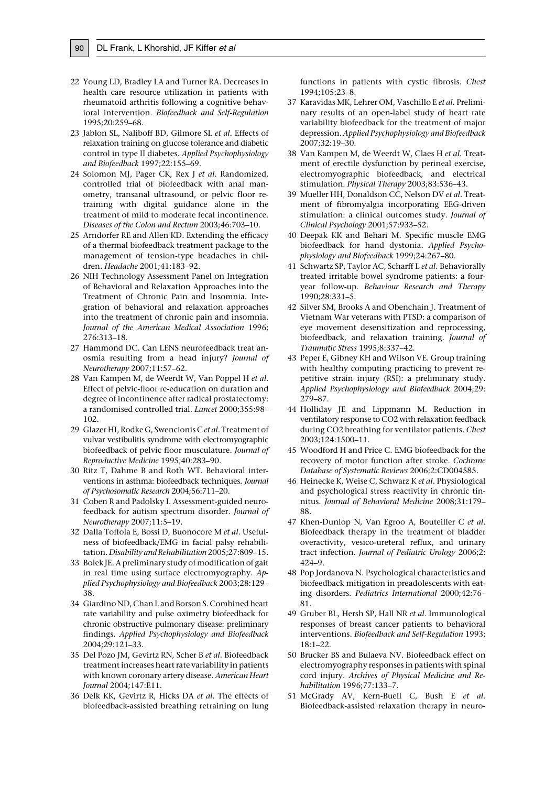- 
- 22 Young LD, Bradley LA and Turner RA. Decreases in health care resource utilization in patients with rheumatoid arthritis following a cognitive behavioral intervention. Biofeedback and Self-Regulation 1995;20:259–68.
- 23 Jablon SL, Naliboff BD, Gilmore SL et al. Effects of relaxation training on glucose tolerance and diabetic control in type II diabetes. Applied Psychophysiology and Biofeedback 1997;22:155–69.
- 24 Solomon MJ, Pager CK, Rex J et al. Randomized, controlled trial of biofeedback with anal manometry, transanal ultrasound, or pelvic floor retraining with digital guidance alone in the treatment of mild to moderate fecal incontinence. Diseases of the Colon and Rectum 2003;46:703–10.
- 25 Arndorfer RE and Allen KD. Extending the efficacy of a thermal biofeedback treatment package to the management of tension-type headaches in children. Headache 2001;41:183–92.
- 26 NIH Technology Assessment Panel on Integration of Behavioral and Relaxation Approaches into the Treatment of Chronic Pain and Insomnia. Integration of behavioral and relaxation approaches into the treatment of chronic pain and insomnia. Journal of the American Medical Association 1996; 276:313–18.
- 27 Hammond DC. Can LENS neurofeedback treat anosmia resulting from a head injury? Journal of Neurotherapy 2007;11:57–62.
- 28 Van Kampen M, de Weerdt W, Van Poppel H et al. Effect of pelvic-floor re-education on duration and degree of incontinence after radical prostatectomy: a randomised controlled trial. Lancet 2000;355:98– 102.
- 29 Glazer HI, Rodke G, Swencionis C et al. Treatment of vulvar vestibulitis syndrome with electromyographic biofeedback of pelvic floor musculature. Journal of Reproductive Medicine 1995;40:283–90.
- 30 Ritz T, Dahme B and Roth WT. Behavioral interventions in asthma: biofeedback techniques. Journal of Psychosomatic Research 2004;56:711–20.
- 31 Coben R and Padolsky I. Assessment-guided neurofeedback for autism spectrum disorder. Journal of Neurotherapy 2007;11:5–19.
- 32 Dalla Toffola E, Bossi D, Buonocore M et al. Usefulness of biofeedback/EMG in facial palsy rehabilitation. Disability and Rehabilitation 2005;27:809–15.
- 33 Bolek JE. A preliminary study of modification of gait in real time using surface electromyography. Applied Psychophysiology and Biofeedback 2003;28:129– 38.
- 34 Giardino ND, Chan L and Borson S. Combined heart rate variability and pulse oximetry biofeedback for chronic obstructive pulmonary disease: preliminary findings. Applied Psychophysiology and Biofeedback 2004;29:121–33.
- 35 Del Pozo JM, Gevirtz RN, Scher B et al. Biofeedback treatment increases heart rate variability in patients with known coronary artery disease. American Heart Journal 2004;147:E11.
- 36 Delk KK, Gevirtz R, Hicks DA et al. The effects of biofeedback-assisted breathing retraining on lung

functions in patients with cystic fibrosis. Chest 1994;105:23–8.

- 37 Karavidas MK, Lehrer OM, Vaschillo E et al. Preliminary results of an open-label study of heart rate variability biofeedback for the treatment of major depression. Applied Psychophysiology and Biofeedback 2007;32:19–30.
- 38 Van Kampen M, de Weerdt W, Claes H et al. Treatment of erectile dysfunction by perineal exercise, electromyographic biofeedback, and electrical stimulation. Physical Therapy 2003;83:536–43.
- 39 Mueller HH, Donaldson CC, Nelson DV et al. Treatment of fibromyalgia incorporating EEG-driven stimulation: a clinical outcomes study. Journal of Clinical Psychology 2001;57:933–52.
- 40 Deepak KK and Behari M. Specific muscle EMG biofeedback for hand dystonia. Applied Psychophysiology and Biofeedback 1999;24:267–80.
- 41 Schwartz SP, Taylor AC, Scharff L et al. Behaviorally treated irritable bowel syndrome patients: a fouryear follow-up. Behaviour Research and Therapy 1990;28:331–5.
- 42 Silver SM, Brooks A and Obenchain J. Treatment of Vietnam War veterans with PTSD: a comparison of eye movement desensitization and reprocessing, biofeedback, and relaxation training. Journal of Traumatic Stress 1995;8:337–42.
- 43 Peper E, Gibney KH and Wilson VE. Group training with healthy computing practicing to prevent repetitive strain injury (RSI): a preliminary study. Applied Psychophysiology and Biofeedback 2004;29: 279–87.
- 44 Holliday JE and Lippmann M. Reduction in ventilatory response to CO2 with relaxation feedback during CO2 breathing for ventilator patients. Chest 2003;124:1500–11.
- 45 Woodford H and Price C. EMG biofeedback for the recovery of motor function after stroke. Cochrane Database of Systematic Reviews 2006;2:CD004585.
- 46 Heinecke K, Weise C, Schwarz K et al. Physiological and psychological stress reactivity in chronic tinnitus. Journal of Behavioral Medicine 2008;31:179– 88.
- 47 Khen-Dunlop N, Van Egroo A, Bouteiller C et al. Biofeedback therapy in the treatment of bladder overactivity, vesico-ureteral reflux, and urinary tract infection. Journal of Pediatric Urology 2006;2: 424–9.
- 48 Pop Jordanova N. Psychological characteristics and biofeedback mitigation in preadolescents with eating disorders. Pediatrics International 2000;42:76– 81.
- 49 Gruber BL, Hersh SP, Hall NR et al. Immunological responses of breast cancer patients to behavioral interventions. Biofeedback and Self-Regulation 1993; 18:1–22.
- 50 Brucker BS and Bulaeva NV. Biofeedback effect on electromyography responses in patients with spinal cord injury. Archives of Physical Medicine and Rehabilitation 1996;77:133–7.
- 51 McGrady AV, Kern-Buell C, Bush E et al. Biofeedback-assisted relaxation therapy in neuro-